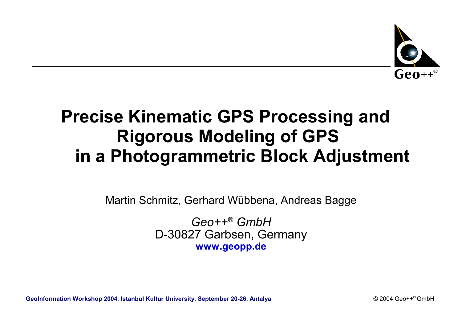

# **Precise Kinematic GPS Processing and Rigorous Modeling of GPS in a Photogrammetric Block Adjustment**

Martin Schmitz, Gerhard Wübbena, Andreas Bagge

*Geo++® GmbH* D-30827 Garbsen, Germany **www.geopp.de**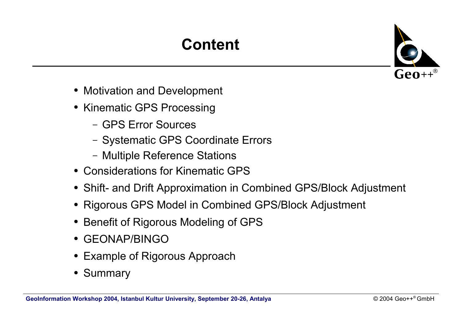# **Content**



- Motivation and Development
- Kinematic GPS Processing
	- GPS Error Sources
	- Systematic GPS Coordinate Errors
	- Multiple Reference Stations
- Considerations for Kinematic GPS
- Shift- and Drift Approximation in Combined GPS/Block Adjustment
- Rigorous GPS Model in Combined GPS/Block Adjustment
- Benefit of Rigorous Modeling of GPS
- GEONAP/BINGO
- Example of Rigorous Approach
- Summary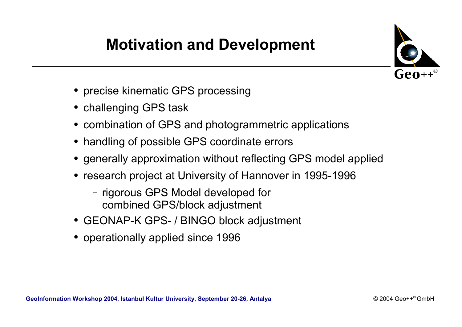# **Motivation and Development**



- precise kinematic GPS processing
- challenging GPS task
- combination of GPS and photogrammetric applications
- handling of possible GPS coordinate errors
- generally approximation without reflecting GPS model applied
- research project at University of Hannover in 1995-1996
	- rigorous GPS Model developed for combined GPS/block adjustment
- GEONAP-K GPS- / BINGO block adjustment
- operationally applied since 1996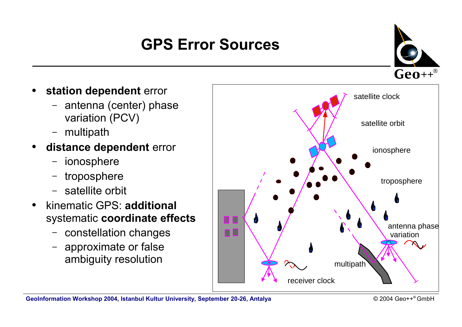# **GPS Error Sources**

 $\text{Geo}^{++}$ 

- **station dependent error** 
	- antenna (center) phase variation (PCV)
	- multipath
- **distance dependent** error
	- ionosphere
	- troposphere
	- satellite orbit
- kinematic GPS: **additional** systematic **coordinate effects**
	- constellation changes
	- approximate or false ambiguity resolution

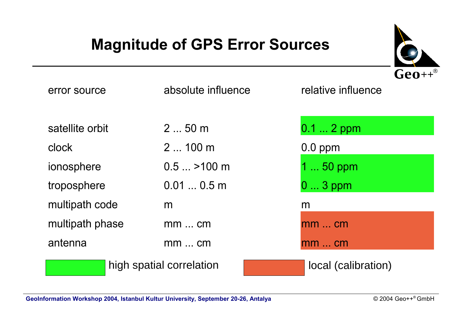## **Magnitude of GPS Error Sources**



| error source    | absolute influence       | relative influence  |
|-----------------|--------------------------|---------------------|
| satellite orbit | $250$ m                  | $0.12$ ppm          |
| clock           | $2100$ m                 | $0.0$ ppm           |
| ionosphere      | $0.5$ $\ldots$ >100 m    | 1  50 ppm           |
| troposphere     | 0.010.5m                 | $03$ ppm            |
| multipath code  | m                        | m                   |
| multipath phase | $mm$ cm                  | $mm$ cm             |
| antenna         | $mm$ cm                  | $mm$ cm             |
|                 | high spatial correlation | local (calibration) |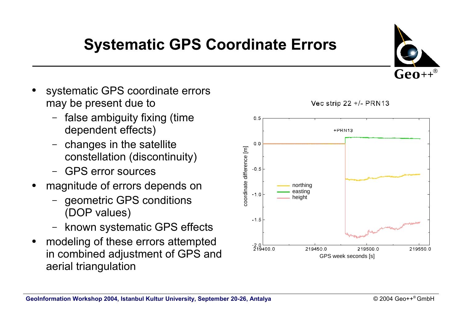# **Systematic GPS Coordinate Errors**

- systematic GPS coordinate errors may be present due to
	- false ambiguity fixing (time dependent effects)
	- changes in the satellite constellation (discontinuity)
	- GPS error sources
- magnitude of errors depends on
	- geometric GPS conditions (DOP values)
	- known systematic GPS effects
- modeling of these errors attempted in combined adjustment of GPS and aerial triangulation



Vec strip 22 +/- PRN13

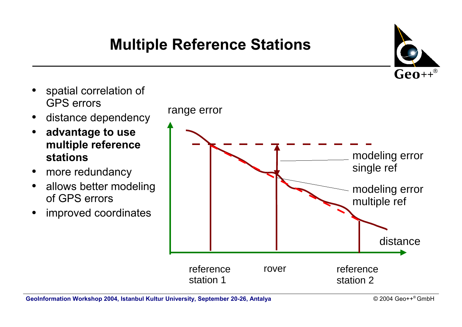## **Multiple Reference Stations**



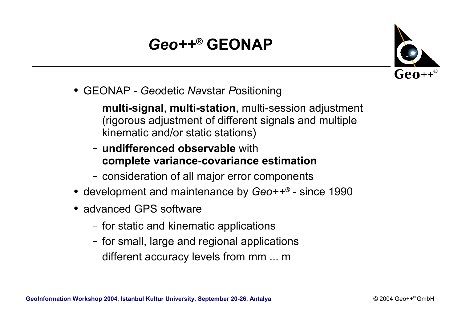# *Geo++ ®* **GEONAP**



- GEONAP *Geo*detic *Na*vstar *P*ositioning
	- **multi-signal**, **multi-station**, multi-session adjustment (rigorous adjustment of different signals and multiple kinematic and/or static stations)
	- **undifferenced observable** with **complete variance-covariance estimation**
	- consideration of all major error components
- development and maintenance by Geo++® since 1990
- advanced GPS software
	- for static and kinematic applications
	- for small, large and regional applications
	- different accuracy levels from mm ... m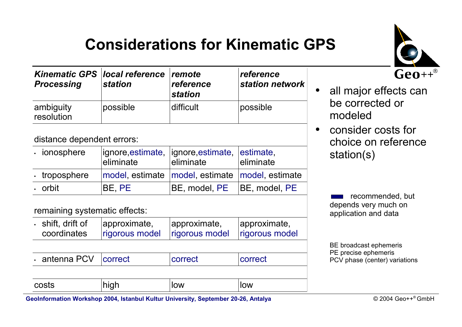

# **Considerations for Kinematic GPS**

| <b>Kinematic GPS local reference</b><br><b>Processing</b><br><b>station</b> |          | <i>comote</i><br>reference<br><b>station</b> | reference<br>station network |  |
|-----------------------------------------------------------------------------|----------|----------------------------------------------|------------------------------|--|
| ambiguity<br>resolution                                                     | possible | difficult                                    | possible                     |  |

distance dependent errors:

| · ionosphere        | eliminate | ignore, estimate,   ignore, estimate,   estimate,<br>leliminate | eliminate |
|---------------------|-----------|-----------------------------------------------------------------|-----------|
| $\cdot$ troposphere |           | model, estimate   model, estimate   model, estimate             |           |
| . orbit             | BE, PE    | BE, model, PE   BE, model, PE                                   |           |

remaining systematic effects:

| costs                                  | high                           | low                            | low                            |  |
|----------------------------------------|--------------------------------|--------------------------------|--------------------------------|--|
|                                        |                                |                                |                                |  |
| $\cdot$ antenna PCV                    | correct                        | correct                        | correct                        |  |
|                                        |                                |                                |                                |  |
| $\cdot$ shift, drift of<br>coordinates | approximate,<br>rigorous model | approximate,<br>rigorous model | approximate,<br>rigorous model |  |

#### • all major effects can be corrected or modeled

• consider costs for choice on reference station(s)

> recommended, but depends very much on application and data

BE broadcast ephemeris PE precise ephemeris PCV phase (center) variations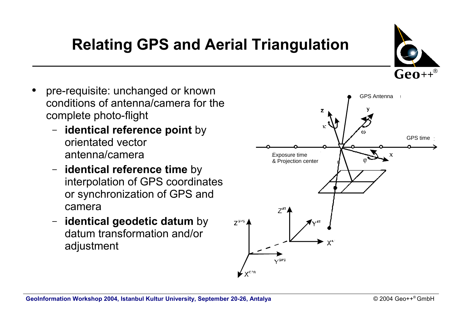# **Relating GPS and Aerial Triangulation**

- pre-requisite: unchanged or known conditions of antenna/camera for the complete photo-flight
	- **identical reference point** by orientated vector antenna/camera
	- **identical reference time** by interpolation of GPS coordinates or synchronization of GPS and camera
	- **identical geodetic datum** by datum transformation and/or adjustment



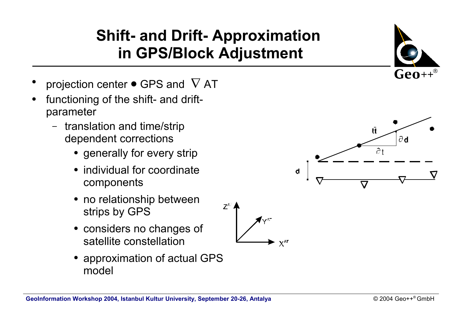### **Shift- and Drift- Approximation in GPS/Block Adjustment**

- projection center  $\bullet$  GPS and  $\nabla$  AT
- functioning of the shift- and driftparameter
	- translation and time/strip dependent corrections
		- generally for every strip
		- individual for coordinate components
		- no relationship between strips by GPS
		- considers no changes of satellite constellation
		- approximation of actual GPS model

**GeoInformation Workshop 2004, Istanbul Kultur University, September 20-26, Antalya** 







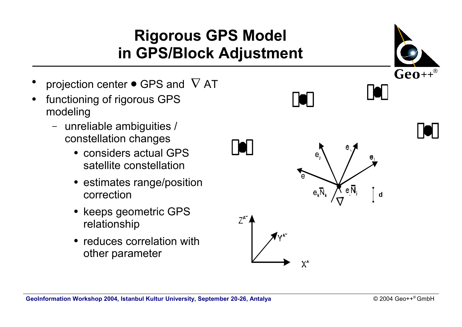### **Rigorous GPS Model in GPS/Block Adjustment**

- projection center  $\bullet$  GPS and  $\nabla$  AT
- functioning of rigorous GPS modeling
	- unreliable ambiguities / constellation changes
		- considers actual GPS satellite constellation
		- estimates range/position correction
		- keeps geometric GPS relationship
		- reduces correlation with other parameter

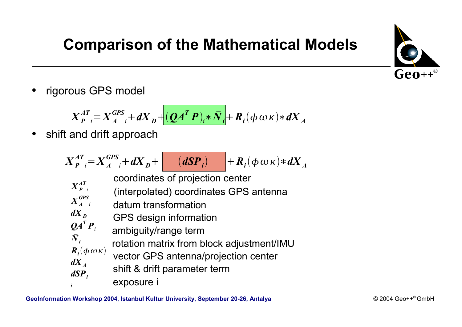

# **Comparison of the Mathematical Models**

• rigorous GPS model

 $X^{AT}_{P}$  $\int_{I}^{I} = X_{A}^{GPS} + dX_{B} + (QA^{T} P)_{i} * \bar{N}_{i} + R_{i}(\phi \omega \kappa) * dX_{A}$ 

• shift and drift approach

$$
X_{P}^{AT} = X_{A}^{GPS} + dX_{D} + \frac{(dSP_{i})}{(MSP_{i})} + R_{i}(\phi \omega \kappa) * dX_{A}
$$
  
coordinates of projection center  

$$
X_{P}^{AT}
$$
 (interpolated) coordinates GPS antenna  

$$
X_{A}^{CPS}
$$
 dataum transformation  

$$
dX_{D}
$$
 GPS design information  

$$
QA^{T}P_{i}
$$
ambiguity/range term  

$$
R_{i}(\phi \omega \kappa)
$$
 vector GPS antenna/projection center  

$$
dX_{A}
$$
shift & drift parameter term  
exposure i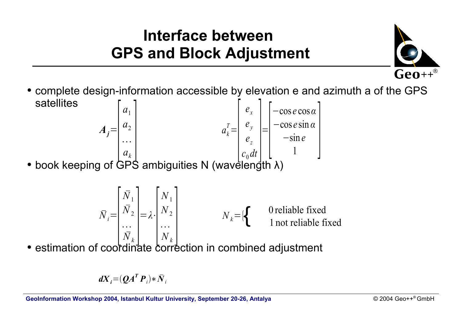### **Interface between GPS and Block Adjustment**



• complete design-information accessible by elevation e and azimuth a of the GPS satellites  $a_k^T =$ *ex e y ez* = −cos *e* cos*α* −cos *e* sin *α* −sin *e* <sup>1</sup> ]  $A_j =$ *a*1  $a<sub>2</sub>$ 

 $\begin{bmatrix} c_z \\ c \end{bmatrix}$ 

[

• book keeping of GPS ambiguities N (wavelength  $\lambda$ )  $c_0 dt$   $\begin{bmatrix} c_1 \\ c_2 \end{bmatrix}$  $a_k$ 

$$
\bar{N}_i = \begin{bmatrix} \bar{N}_1 \\ \bar{N}_2 \\ \cdots \\ \bar{N}_k \end{bmatrix} = \lambda \cdot \begin{bmatrix} N_1 \\ N_2 \\ \cdots \\ N_k \end{bmatrix}
$$
  $N_k = \{ \begin{cases} 0 \text{ reliable fixed} \\ 1 \text{ not reliable fixed} \end{cases}$ 

 $\bullet$  estimation of coordinate correction in combined adjustment

$$
dX_i = (QA^T P_i) * \overline{N}_i
$$

 $\begin{bmatrix} \cdots \\ a \end{bmatrix}$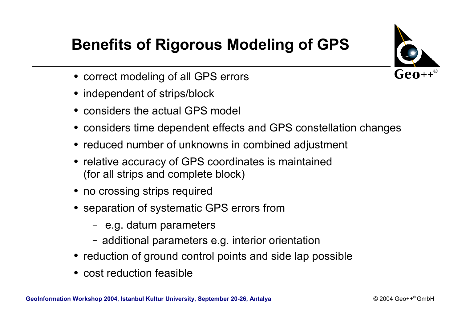

# **Benefits of Rigorous Modeling of GPS**

- correct modeling of all GPS errors
- independent of strips/block
- considers the actual GPS model
- considers time dependent effects and GPS constellation changes
- reduced number of unknowns in combined adjustment
- relative accuracy of GPS coordinates is maintained (for all strips and complete block)
- no crossing strips required
- separation of systematic GPS errors from
	- e.g. datum parameters
	- additional parameters e.g. interior orientation
- reduction of ground control points and side lap possible
- cost reduction feasible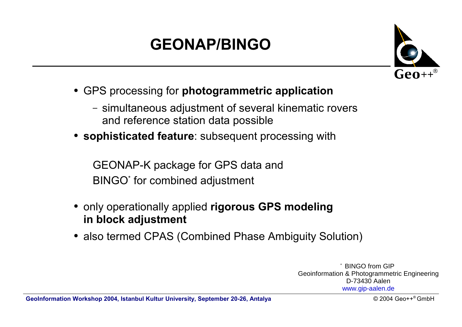# **GEONAP/BINGO**



- GPS processing for **photogrammetric application**
	- simultaneous adjustment of several kinematic rovers and reference station data possible
- **sophisticated feature**: subsequent processing with

GEONAP-K package for GPS data and BINGO\* for combined adjustment

- only operationally applied **rigorous GPS modeling in block adjustment**
- also termed CPAS (Combined Phase Ambiguity Solution)

**BINGO from GIP** Geoinformation & Photogrammetric Engineering D-73430 Aalen www.gip-aalen.de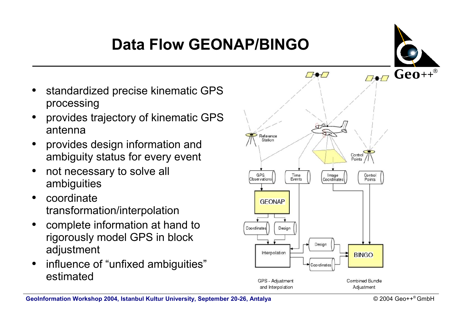# **Data Flow GEONAP/BINGO**



- standardized precise kinematic GPS processing
- provides trajectory of kinematic GPS antenna
- provides design information and ambiguity status for every event
- not necessary to solve all ambiguities
- coordinate transformation/interpolation
- complete information at hand to rigorously model GPS in block adjustment
- influence of "unfixed ambiguities" estimated

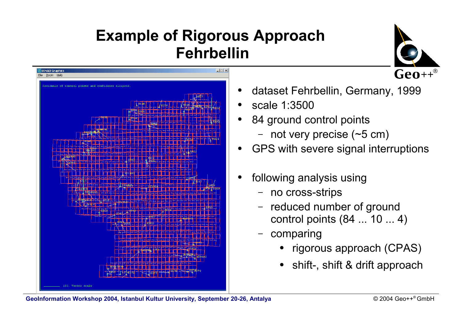



- dataset Fehrbellin, Germany, 1999
- scale 1:3500
- 84 ground control points
	- not very precise (~5 cm)
- GPS with severe signal interruptions
- following analysis using
	- no cross-strips
	- reduced number of ground control points (84 ... 10 ... 4)
	- comparing
		- rigorous approach (CPAS)
		- shift-, shift & drift approach

**GeoInformation Workshop 2004, Istanbul Kultur University, September 20-26, Antalya**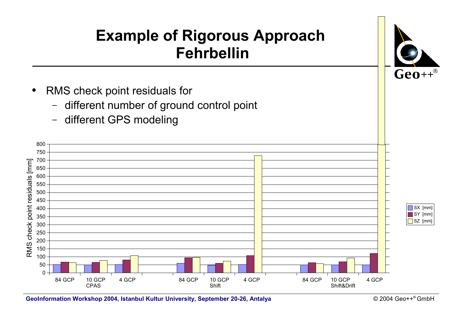

**GeoInformation Workshop 2004, Istanbul Kultur University, September 20-26, Antalya** 

 $@$  2004 Geo++® GmbH

 $\text{Geo}^{++}$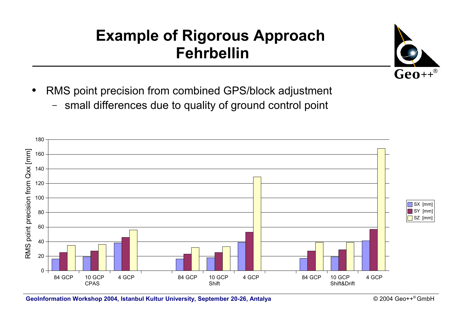

- RMS point precision from combined GPS/block adjustment
	- small differences due to quality of ground control point

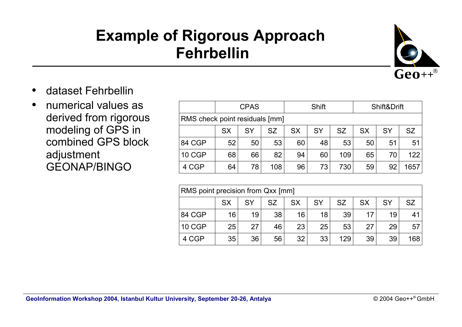

- dataset Fehrbellin
- numerical values as derived from rigorous modeling of GPS in combined GPS block adjustment GEONAP/BINGO

|                                | <b>CPAS</b> |           |           | Shift     |           |           | Shift&Drift |           |           |
|--------------------------------|-------------|-----------|-----------|-----------|-----------|-----------|-------------|-----------|-----------|
| RMS check point residuals [mm] |             |           |           |           |           |           |             |           |           |
|                                | <b>SX</b>   | <b>SY</b> | <b>SZ</b> | <b>SX</b> | <b>SY</b> | <b>SZ</b> | <b>SX</b>   | <b>SY</b> | <b>SZ</b> |
| 84 CGP                         | 52          | 50        | 53        | 60        | 48        | 53        | 50          | 51        | 51        |
| <b>10 CGP</b>                  | 68          | 66        | 82        | 94        | 60        | 109       | 65          | 70        | 122       |
| 4 CGP                          | 64          | 78        | 108       | 96        | 73        | 730       | 59          | 92        | 657       |

| RMS point precision from Qxx [mm] |           |           |           |           |           |           |           |           |           |
|-----------------------------------|-----------|-----------|-----------|-----------|-----------|-----------|-----------|-----------|-----------|
|                                   | <b>SX</b> | <b>SY</b> | <b>SZ</b> | <b>SX</b> | <b>SY</b> | <b>SZ</b> | <b>SX</b> | <b>SY</b> | <b>SZ</b> |
| 84 CGP                            | 16        | 19        | 38        | 16        | 18        | 39        |           | 19        | 41        |
| <b>10 CGP</b>                     | 25        | 27        | 46        | 23        | 25        | 53        | 27        | 29        | 57        |
| 4 CGP                             | 35        | 36        | 56        | 32        | 33        | 129       | 39        | 39        | 168       |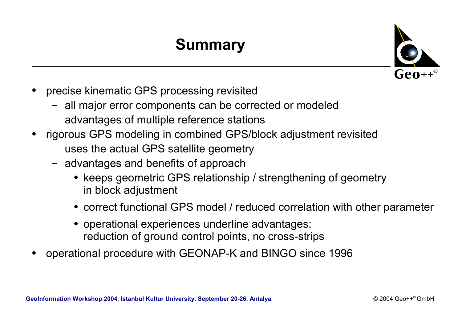# **Summary**



- precise kinematic GPS processing revisited
	- all major error components can be corrected or modeled
	- advantages of multiple reference stations
- rigorous GPS modeling in combined GPS/block adjustment revisited
	- uses the actual GPS satellite geometry
	- advantages and benefits of approach
		- keeps geometric GPS relationship / strengthening of geometry in block adjustment
		- correct functional GPS model / reduced correlation with other parameter
		- operational experiences underline advantages: reduction of ground control points, no cross-strips
- operational procedure with GEONAP-K and BINGO since 1996